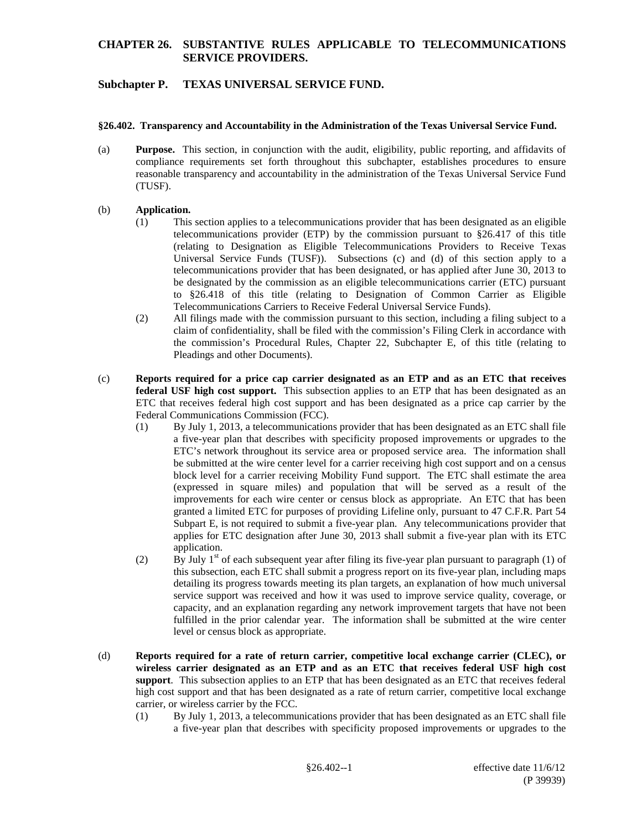### **CHAPTER 26. SUBSTANTIVE RULES APPLICABLE TO TELECOMMUNICATIONS SERVICE PROVIDERS.**

# **Subchapter P. TEXAS UNIVERSAL SERVICE FUND.**

#### **§26.402. Transparency and Accountability in the Administration of the Texas Universal Service Fund.**

(a) **Purpose.** This section, in conjunction with the audit, eligibility, public reporting, and affidavits of compliance requirements set forth throughout this subchapter, establishes procedures to ensure reasonable transparency and accountability in the administration of the Texas Universal Service Fund (TUSF).

#### (b) **Application.**

- (1) This section applies to a telecommunications provider that has been designated as an eligible telecommunications provider (ETP) by the commission pursuant to §26.417 of this title (relating to Designation as Eligible Telecommunications Providers to Receive Texas Universal Service Funds (TUSF)). Subsections (c) and (d) of this section apply to a telecommunications provider that has been designated, or has applied after June 30, 2013 to be designated by the commission as an eligible telecommunications carrier (ETC) pursuant to §26.418 of this title (relating to Designation of Common Carrier as Eligible Telecommunications Carriers to Receive Federal Universal Service Funds).
- (2) All filings made with the commission pursuant to this section, including a filing subject to a claim of confidentiality, shall be filed with the commission's Filing Clerk in accordance with the commission's Procedural Rules, Chapter 22, Subchapter E, of this title (relating to Pleadings and other Documents).
- (c) **Reports required for a price cap carrier designated as an ETP and as an ETC that receives federal USF high cost support.** This subsection applies to an ETP that has been designated as an ETC that receives federal high cost support and has been designated as a price cap carrier by the Federal Communications Commission (FCC).
	- (1) By July 1, 2013, a telecommunications provider that has been designated as an ETC shall file a five-year plan that describes with specificity proposed improvements or upgrades to the ETC's network throughout its service area or proposed service area. The information shall be submitted at the wire center level for a carrier receiving high cost support and on a census block level for a carrier receiving Mobility Fund support. The ETC shall estimate the area (expressed in square miles) and population that will be served as a result of the improvements for each wire center or census block as appropriate. An ETC that has been granted a limited ETC for purposes of providing Lifeline only, pursuant to 47 C.F.R. Part 54 Subpart E, is not required to submit a five-year plan. Any telecommunications provider that applies for ETC designation after June 30, 2013 shall submit a five-year plan with its ETC application.
	- (2) By July  $1<sup>st</sup>$  of each subsequent year after filing its five-year plan pursuant to paragraph (1) of this subsection, each ETC shall submit a progress report on its five-year plan, including maps detailing its progress towards meeting its plan targets, an explanation of how much universal service support was received and how it was used to improve service quality, coverage, or capacity, and an explanation regarding any network improvement targets that have not been fulfilled in the prior calendar year. The information shall be submitted at the wire center level or census block as appropriate.
- (d) **Reports required for a rate of return carrier, competitive local exchange carrier (CLEC), or wireless carrier designated as an ETP and as an ETC that receives federal USF high cost support**. This subsection applies to an ETP that has been designated as an ETC that receives federal high cost support and that has been designated as a rate of return carrier, competitive local exchange carrier, or wireless carrier by the FCC.
	- (1) By July 1, 2013, a telecommunications provider that has been designated as an ETC shall file a five-year plan that describes with specificity proposed improvements or upgrades to the